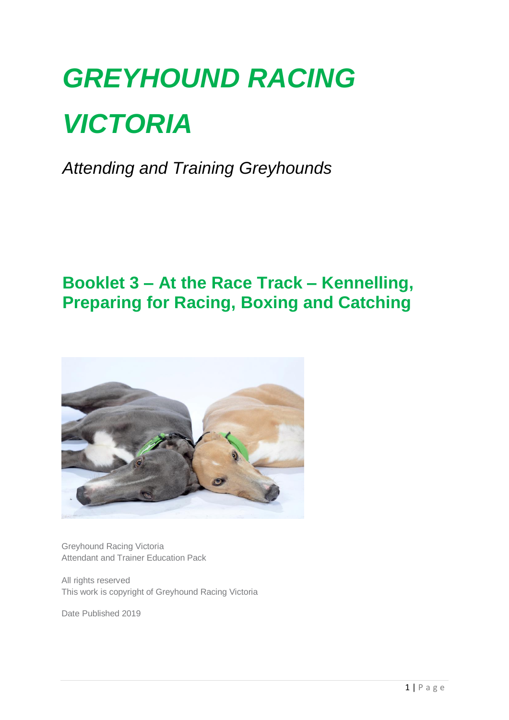# *GREYHOUND RACING VICTORIA*

*Attending and Training Greyhounds*

### **Booklet 3 – At the Race Track – Kennelling, Preparing for Racing, Boxing and Catching**



Greyhound Racing Victoria Attendant and Trainer Education Pack

All rights reserved This work is copyright of Greyhound Racing Victoria

Date Published 2019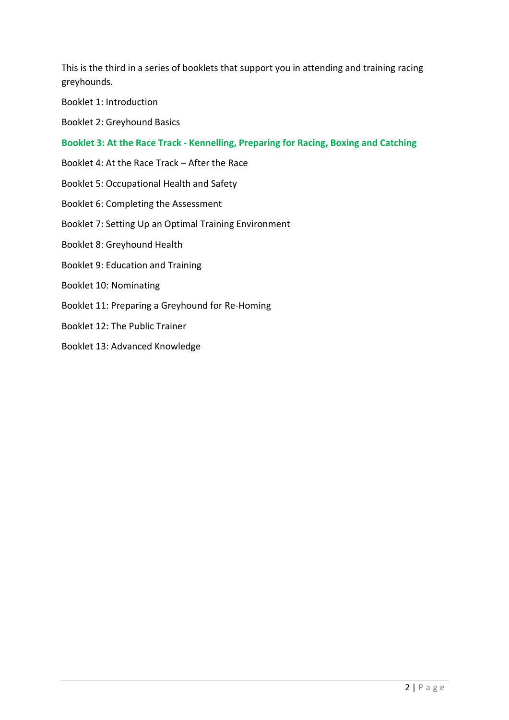This is the third in a series of booklets that support you in attending and training racing greyhounds.

Booklet 1: Introduction

Booklet 2: Greyhound Basics

**Booklet 3: At the Race Track - Kennelling, Preparing for Racing, Boxing and Catching**

Booklet 4: At the Race Track – After the Race

Booklet 5: Occupational Health and Safety

- Booklet 6: Completing the Assessment
- Booklet 7: Setting Up an Optimal Training Environment

Booklet 8: Greyhound Health

- Booklet 9: Education and Training
- Booklet 10: Nominating
- Booklet 11: Preparing a Greyhound for Re-Homing
- Booklet 12: The Public Trainer
- Booklet 13: Advanced Knowledge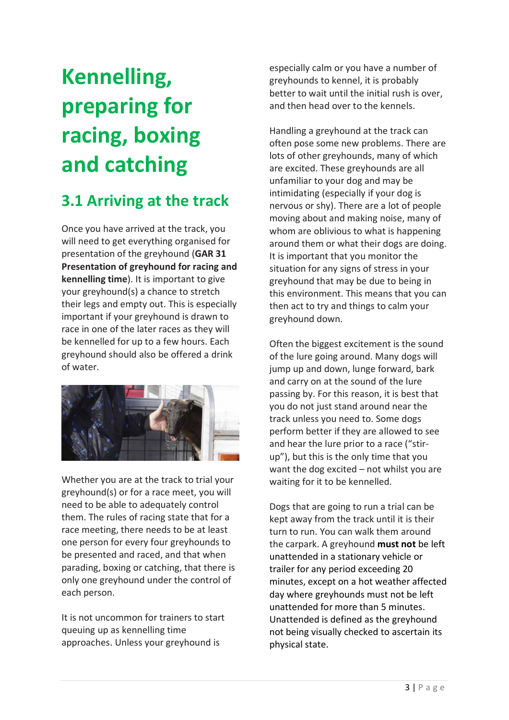## **Kennelling, preparing for racing, boxing and catching**

### **3.1 Arriving at the track**

Once you have arrived at the track, you will need to get everything organised for presentation of the greyhound (**GAR 31 Presentation of greyhound for racing and kennelling time**). It is important to give your greyhound(s) a chance to stretch their legs and empty out. This is especially important if your greyhound is drawn to race in one of the later races as they will be kennelled for up to a few hours. Each greyhound should also be offered a drink of water.



Whether you are at the track to trial your greyhound(s) or for a race meet, you will need to be able to adequately control them. The rules of racing state that for a race meeting, there needs to be at least one person for every four greyhounds to be presented and raced, and that when parading, boxing or catching, that there is only one greyhound under the control of each person.

It is not uncommon for trainers to start queuing up as kennelling time approaches. Unless your greyhound is

especially calm or you have a number of greyhounds to kennel, it is probably better to wait until the initial rush is over, and then head over to the kennels.

Handling a greyhound at the track can often pose some new problems. There are lots of other greyhounds, many of which are excited. These greyhounds are all unfamiliar to your dog and may be intimidating (especially if your dog is nervous or shy). There are a lot of people moving about and making noise, many of whom are oblivious to what is happening around them or what their dogs are doing. It is important that you monitor the situation for any signs of stress in your greyhound that may be due to being in this environment. This means that you can then act to try and things to calm your greyhound down.

Often the biggest excitement is the sound of the lure going around. Many dogs will jump up and down, lunge forward, bark and carry on at the sound of the lure passing by. For this reason, it is best that you do not just stand around near the track unless you need to. Some dogs perform better if they are allowed to see and hear the lure prior to a race ("stirup"), but this is the only time that you want the dog excited – not whilst you are waiting for it to be kennelled.

Dogs that are going to run a trial can be kept away from the track until it is their turn to run. You can walk them around the carpark. A greyhound **must not** be left unattended in a stationary vehicle or trailer for any period exceeding 20 minutes, except on a hot weather affected day where greyhounds must not be left unattended for more than 5 minutes. Unattended is defined as the greyhound not being visually checked to ascertain its physical state.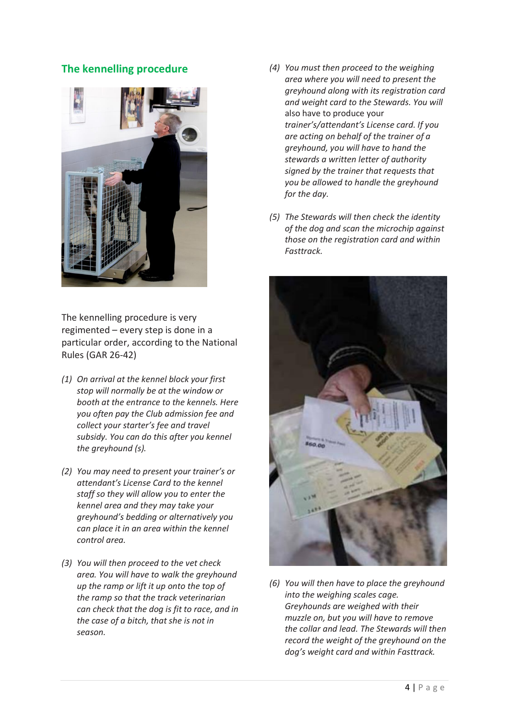### **The kennelling procedure**



The kennelling procedure is very regimented – every step is done in a particular order, according to the National Rules (GAR 26-42)

- *(1) On arrival at the kennel block your first stop will normally be at the window or booth at the entrance to the kennels. Here you often pay the Club admission fee and collect your starter's fee and travel subsidy. You can do this after you kennel the greyhound (s).*
- *(2) You may need to present your trainer's or attendant's License Card to the kennel staff so they will allow you to enter the kennel area and they may take your greyhound's bedding or alternatively you can place it in an area within the kennel control area.*
- *(3) You will then proceed to the vet check area. You will have to walk the greyhound up the ramp or lift it up onto the top of the ramp so that the track veterinarian can check that the dog is fit to race, and in the case of a bitch, that she is not in season.*
- *(4) You must then proceed to the weighing area where you will need to present the greyhound along with its registration card and weight card to the Stewards. You will*  also have to produce your *trainer's/attendant's License card. If you are acting on behalf of the trainer of a greyhound, you will have to hand the stewards a written letter of authority signed by the trainer that requests that you be allowed to handle the greyhound for the day.*
- *(5) The Stewards will then check the identity of the dog and scan the microchip against those on the registration card and within Fasttrack.*



*(6) You will then have to place the greyhound into the weighing scales cage. Greyhounds are weighed with their muzzle on, but you will have to remove the collar and lead. The Stewards will then record the weight of the greyhound on the dog's weight card and within Fasttrack.*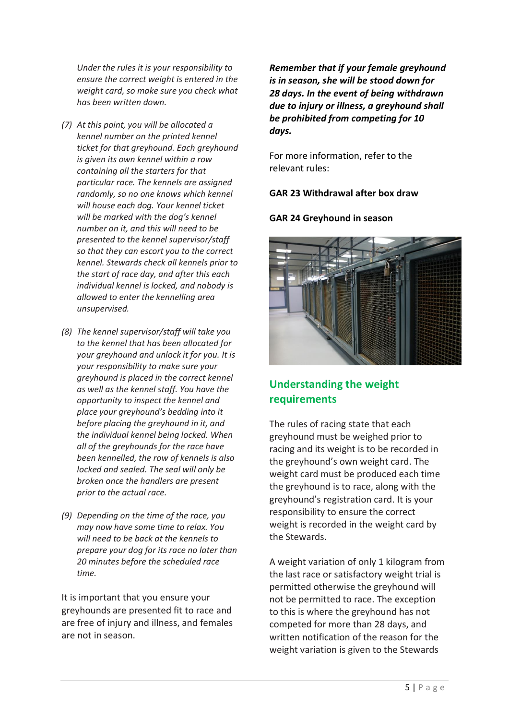*Under the rules it is your responsibility to ensure the correct weight is entered in the weight card, so make sure you check what has been written down.* 

- *(7) At this point, you will be allocated a kennel number on the printed kennel ticket for that greyhound. Each greyhound is given its own kennel within a row containing all the starters for that particular race. The kennels are assigned randomly, so no one knows which kennel will house each dog. Your kennel ticket will be marked with the dog's kennel number on it, and this will need to be presented to the kennel supervisor/staff so that they can escort you to the correct kennel. Stewards check all kennels prior to the start of race day, and after this each individual kennel is locked, and nobody is allowed to enter the kennelling area unsupervised.*
- *(8) The kennel supervisor/staff will take you to the kennel that has been allocated for your greyhound and unlock it for you. It is your responsibility to make sure your greyhound is placed in the correct kennel as well as the kennel staff. You have the opportunity to inspect the kennel and place your greyhound's bedding into it before placing the greyhound in it, and the individual kennel being locked. When all of the greyhounds for the race have been kennelled, the row of kennels is also locked and sealed. The seal will only be broken once the handlers are present prior to the actual race.*
- *(9) Depending on the time of the race, you may now have some time to relax. You will need to be back at the kennels to prepare your dog for its race no later than 20 minutes before the scheduled race time.*

It is important that you ensure your greyhounds are presented fit to race and are free of injury and illness, and females are not in season.

*Remember that if your female greyhound is in season, she will be stood down for 28 days. In the event of being withdrawn due to injury or illness, a greyhound shall be prohibited from competing for 10 days.* 

For more information, refer to the relevant rules:

**GAR 23 Withdrawal after box draw** 

### **GAR 24 Greyhound in season**



### **Understanding the weight requirements**

The rules of racing state that each greyhound must be weighed prior to racing and its weight is to be recorded in the greyhound's own weight card. The weight card must be produced each time the greyhound is to race, along with the greyhound's registration card. It is your responsibility to ensure the correct weight is recorded in the weight card by the Stewards.

A weight variation of only 1 kilogram from the last race or satisfactory weight trial is permitted otherwise the greyhound will not be permitted to race. The exception to this is where the greyhound has not competed for more than 28 days, and written notification of the reason for the weight variation is given to the Stewards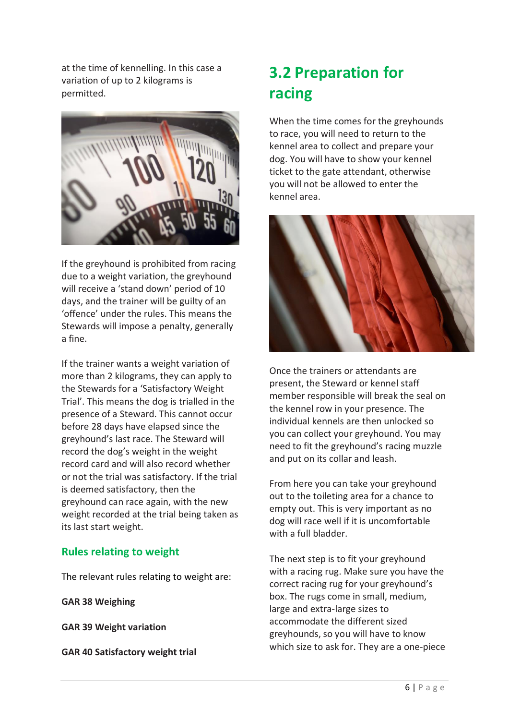at the time of kennelling. In this case a variation of up to 2 kilograms is permitted.



If the greyhound is prohibited from racing due to a weight variation, the greyhound will receive a 'stand down' period of 10 days, and the trainer will be guilty of an 'offence' under the rules. This means the Stewards will impose a penalty, generally a fine.

If the trainer wants a weight variation of more than 2 kilograms, they can apply to the Stewards for a 'Satisfactory Weight Trial'. This means the dog is trialled in the presence of a Steward. This cannot occur before 28 days have elapsed since the greyhound's last race. The Steward will record the dog's weight in the weight record card and will also record whether or not the trial was satisfactory. If the trial is deemed satisfactory, then the greyhound can race again, with the new weight recorded at the trial being taken as its last start weight.

### **Rules relating to weight**

The relevant rules relating to weight are:

**GAR 38 Weighing**

**GAR 39 Weight variation**

**GAR 40 Satisfactory weight trial**

### **3.2 Preparation for racing**

When the time comes for the greyhounds to race, you will need to return to the kennel area to collect and prepare your dog. You will have to show your kennel ticket to the gate attendant, otherwise you will not be allowed to enter the kennel area.



Once the trainers or attendants are present, the Steward or kennel staff member responsible will break the seal on the kennel row in your presence. The individual kennels are then unlocked so you can collect your greyhound. You may need to fit the greyhound's racing muzzle and put on its collar and leash.

From here you can take your greyhound out to the toileting area for a chance to empty out. This is very important as no dog will race well if it is uncomfortable with a full bladder.

The next step is to fit your greyhound with a racing rug. Make sure you have the correct racing rug for your greyhound's box. The rugs come in small, medium, large and extra-large sizes to accommodate the different sized greyhounds, so you will have to know which size to ask for. They are a one-piece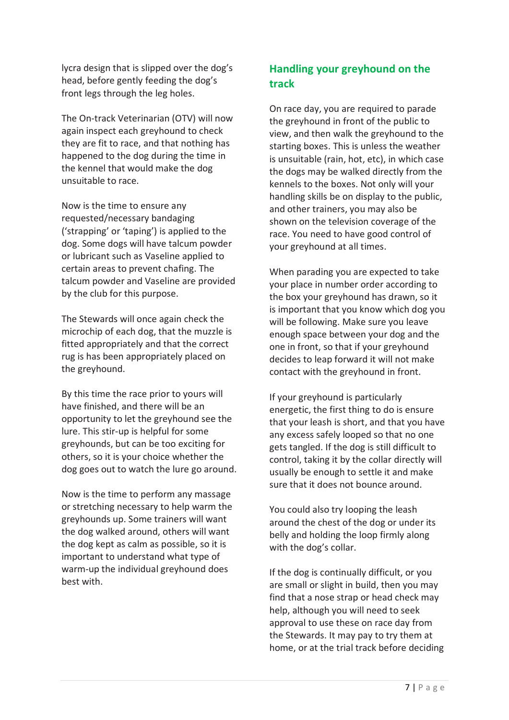lycra design that is slipped over the dog's head, before gently feeding the dog's front legs through the leg holes.

The On-track Veterinarian (OTV) will now again inspect each greyhound to check they are fit to race, and that nothing has happened to the dog during the time in the kennel that would make the dog unsuitable to race.

Now is the time to ensure any requested/necessary bandaging ('strapping' or 'taping') is applied to the dog. Some dogs will have talcum powder or lubricant such as Vaseline applied to certain areas to prevent chafing. The talcum powder and Vaseline are provided by the club for this purpose.

The Stewards will once again check the microchip of each dog, that the muzzle is fitted appropriately and that the correct rug is has been appropriately placed on the greyhound.

By this time the race prior to yours will have finished, and there will be an opportunity to let the greyhound see the lure. This stir-up is helpful for some greyhounds, but can be too exciting for others, so it is your choice whether the dog goes out to watch the lure go around.

Now is the time to perform any massage or stretching necessary to help warm the greyhounds up. Some trainers will want the dog walked around, others will want the dog kept as calm as possible, so it is important to understand what type of warm-up the individual greyhound does best with.

### **Handling your greyhound on the track**

On race day, you are required to parade the greyhound in front of the public to view, and then walk the greyhound to the starting boxes. This is unless the weather is unsuitable (rain, hot, etc), in which case the dogs may be walked directly from the kennels to the boxes. Not only will your handling skills be on display to the public, and other trainers, you may also be shown on the television coverage of the race. You need to have good control of your greyhound at all times.

When parading you are expected to take your place in number order according to the box your greyhound has drawn, so it is important that you know which dog you will be following. Make sure you leave enough space between your dog and the one in front, so that if your greyhound decides to leap forward it will not make contact with the greyhound in front.

If your greyhound is particularly energetic, the first thing to do is ensure that your leash is short, and that you have any excess safely looped so that no one gets tangled. If the dog is still difficult to control, taking it by the collar directly will usually be enough to settle it and make sure that it does not bounce around.

You could also try looping the leash around the chest of the dog or under its belly and holding the loop firmly along with the dog's collar.

If the dog is continually difficult, or you are small or slight in build, then you may find that a nose strap or head check may help, although you will need to seek approval to use these on race day from the Stewards. It may pay to try them at home, or at the trial track before deciding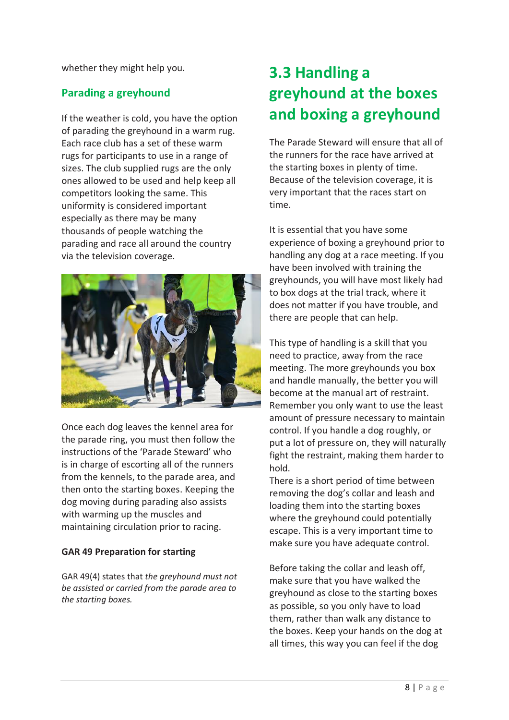whether they might help you.

### **Parading a greyhound**

If the weather is cold, you have the option of parading the greyhound in a warm rug. Each race club has a set of these warm rugs for participants to use in a range of sizes. The club supplied rugs are the only ones allowed to be used and help keep all competitors looking the same. This uniformity is considered important especially as there may be many thousands of people watching the parading and race all around the country via the television coverage.



Once each dog leaves the kennel area for the parade ring, you must then follow the instructions of the 'Parade Steward' who is in charge of escorting all of the runners from the kennels, to the parade area, and then onto the starting boxes. Keeping the dog moving during parading also assists with warming up the muscles and maintaining circulation prior to racing.

### **GAR 49 Preparation for starting**

GAR 49(4) states that *the greyhound must not be assisted or carried from the parade area to the starting boxes.*

### **3.3 Handling a greyhound at the boxes and boxing a greyhound**

The Parade Steward will ensure that all of the runners for the race have arrived at the starting boxes in plenty of time. Because of the television coverage, it is very important that the races start on time.

It is essential that you have some experience of boxing a greyhound prior to handling any dog at a race meeting. If you have been involved with training the greyhounds, you will have most likely had to box dogs at the trial track, where it does not matter if you have trouble, and there are people that can help.

This type of handling is a skill that you need to practice, away from the race meeting. The more greyhounds you box and handle manually, the better you will become at the manual art of restraint. Remember you only want to use the least amount of pressure necessary to maintain control. If you handle a dog roughly, or put a lot of pressure on, they will naturally fight the restraint, making them harder to hold.

There is a short period of time between removing the dog's collar and leash and loading them into the starting boxes where the greyhound could potentially escape. This is a very important time to make sure you have adequate control.

Before taking the collar and leash off, make sure that you have walked the greyhound as close to the starting boxes as possible, so you only have to load them, rather than walk any distance to the boxes. Keep your hands on the dog at all times, this way you can feel if the dog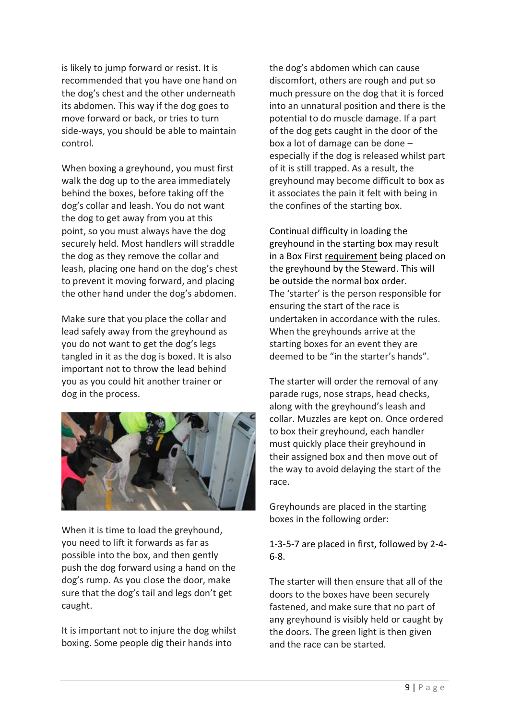is likely to jump forward or resist. It is recommended that you have one hand on the dog's chest and the other underneath its abdomen. This way if the dog goes to move forward or back, or tries to turn side-ways, you should be able to maintain control.

When boxing a greyhound, you must first walk the dog up to the area immediately behind the boxes, before taking off the dog's collar and leash. You do not want the dog to get away from you at this point, so you must always have the dog securely held. Most handlers will straddle the dog as they remove the collar and leash, placing one hand on the dog's chest to prevent it moving forward, and placing the other hand under the dog's abdomen.

Make sure that you place the collar and lead safely away from the greyhound as you do not want to get the dog's legs tangled in it as the dog is boxed. It is also important not to throw the lead behind you as you could hit another trainer or dog in the process.



When it is time to load the greyhound, you need to lift it forwards as far as possible into the box, and then gently push the dog forward using a hand on the dog's rump. As you close the door, make sure that the dog's tail and legs don't get caught.

It is important not to injure the dog whilst boxing. Some people dig their hands into

the dog's abdomen which can cause discomfort, others are rough and put so much pressure on the dog that it is forced into an unnatural position and there is the potential to do muscle damage. If a part of the dog gets caught in the door of the box a lot of damage can be done – especially if the dog is released whilst part of it is still trapped. As a result, the greyhound may become difficult to box as it associates the pain it felt with being in the confines of the starting box.

Continual difficulty in loading the greyhound in the starting box may result in a Box First requirement being placed on the greyhound by the Steward. This will be outside the normal box order. The 'starter' is the person responsible for ensuring the start of the race is undertaken in accordance with the rules. When the greyhounds arrive at the starting boxes for an event they are deemed to be "in the starter's hands".

The starter will order the removal of any parade rugs, nose straps, head checks, along with the greyhound's leash and collar. Muzzles are kept on. Once ordered to box their greyhound, each handler must quickly place their greyhound in their assigned box and then move out of the way to avoid delaying the start of the race.

Greyhounds are placed in the starting boxes in the following order:

### 1-3-5-7 are placed in first, followed by 2-4- 6-8.

The starter will then ensure that all of the doors to the boxes have been securely fastened, and make sure that no part of any greyhound is visibly held or caught by the doors. The green light is then given and the race can be started.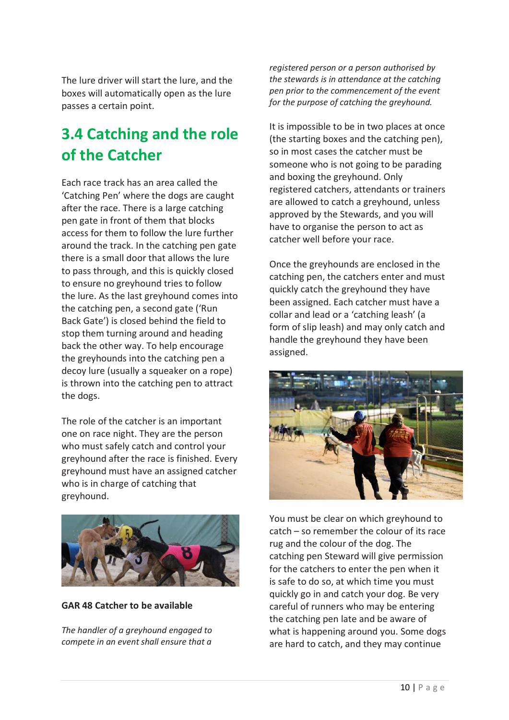The lure driver will start the lure, and the boxes will automatically open as the lure passes a certain point.

### **3.4 Catching and the role of the Catcher**

Each race track has an area called the 'Catching Pen' where the dogs are caught after the race. There is a large catching pen gate in front of them that blocks access for them to follow the lure further around the track. In the catching pen gate there is a small door that allows the lure to pass through, and this is quickly closed to ensure no greyhound tries to follow the lure. As the last greyhound comes into the catching pen, a second gate ('Run Back Gate') is closed behind the field to stop them turning around and heading back the other way. To help encourage the greyhounds into the catching pen a decoy lure (usually a squeaker on a rope) is thrown into the catching pen to attract the dogs.

The role of the catcher is an important one on race night. They are the person who must safely catch and control your greyhound after the race is finished. Every greyhound must have an assigned catcher who is in charge of catching that greyhound.



**GAR 48 Catcher to be available**

*The handler of a greyhound engaged to compete in an event shall ensure that a* 

*registered person or a person authorised by the stewards is in attendance at the catching pen prior to the commencement of the event for the purpose of catching the greyhound.*

It is impossible to be in two places at once (the starting boxes and the catching pen), so in most cases the catcher must be someone who is not going to be parading and boxing the greyhound. Only registered catchers, attendants or trainers are allowed to catch a greyhound, unless approved by the Stewards, and you will have to organise the person to act as catcher well before your race.

Once the greyhounds are enclosed in the catching pen, the catchers enter and must quickly catch the greyhound they have been assigned. Each catcher must have a collar and lead or a 'catching leash' (a form of slip leash) and may only catch and handle the greyhound they have been assigned.



You must be clear on which greyhound to catch – so remember the colour of its race rug and the colour of the dog. The catching pen Steward will give permission for the catchers to enter the pen when it is safe to do so, at which time you must quickly go in and catch your dog. Be very careful of runners who may be entering the catching pen late and be aware of what is happening around you. Some dogs are hard to catch, and they may continue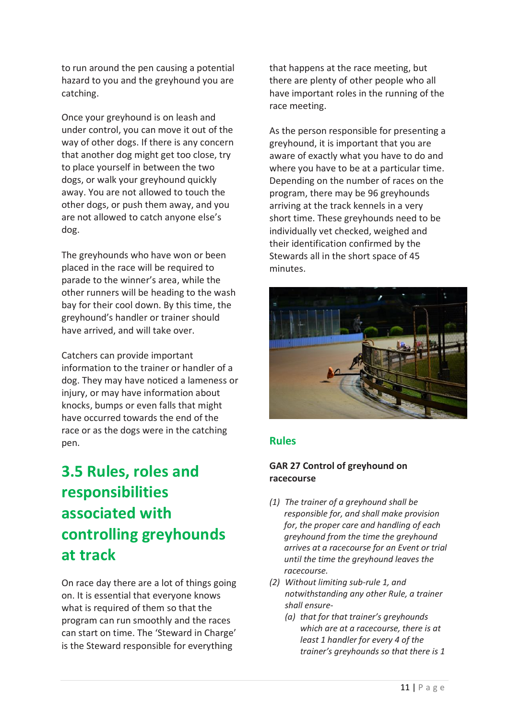to run around the pen causing a potential hazard to you and the greyhound you are catching.

Once your greyhound is on leash and under control, you can move it out of the way of other dogs. If there is any concern that another dog might get too close, try to place yourself in between the two dogs, or walk your greyhound quickly away. You are not allowed to touch the other dogs, or push them away, and you are not allowed to catch anyone else's dog.

The greyhounds who have won or been placed in the race will be required to parade to the winner's area, while the other runners will be heading to the wash bay for their cool down. By this time, the greyhound's handler or trainer should have arrived, and will take over.

Catchers can provide important information to the trainer or handler of a dog. They may have noticed a lameness or injury, or may have information about knocks, bumps or even falls that might have occurred towards the end of the race or as the dogs were in the catching pen.

### **3.5 Rules, roles and responsibilities associated with controlling greyhounds at track**

On race day there are a lot of things going on. It is essential that everyone knows what is required of them so that the program can run smoothly and the races can start on time. The 'Steward in Charge' is the Steward responsible for everything

that happens at the race meeting, but there are plenty of other people who all have important roles in the running of the race meeting.

As the person responsible for presenting a greyhound, it is important that you are aware of exactly what you have to do and where you have to be at a particular time. Depending on the number of races on the program, there may be 96 greyhounds arriving at the track kennels in a very short time. These greyhounds need to be individually vet checked, weighed and their identification confirmed by the Stewards all in the short space of 45 minutes.



### **Rules**

### **GAR 27 Control of greyhound on racecourse**

- *(1) The trainer of a greyhound shall be responsible for, and shall make provision for, the proper care and handling of each greyhound from the time the greyhound arrives at a racecourse for an Event or trial until the time the greyhound leaves the racecourse.*
- *(2) Without limiting sub-rule 1, and notwithstanding any other Rule, a trainer shall ensure-*
	- *(a) that for that trainer's greyhounds which are at a racecourse, there is at least 1 handler for every 4 of the trainer's greyhounds so that there is 1*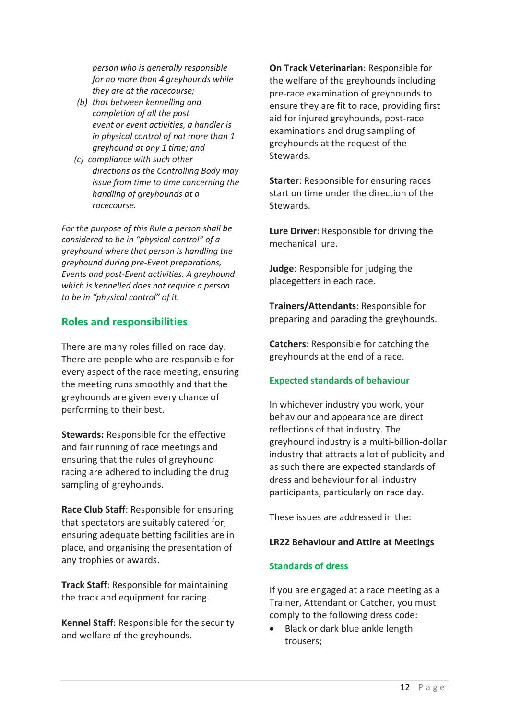*person who is generally responsible for no more than 4 greyhounds while they are at the racecourse;* 

- *(b) that between kennelling and completion of all the post event or event activities, a handler is in physical control of not more than 1 greyhound at any 1 time; and*
- *(c) compliance with such other directions as the Controlling Body may issue from time to time concerning the handling of greyhounds at a racecourse.*

*For the purpose of this Rule a person shall be considered to be in "physical control" of a greyhound where that person is handling the greyhound during pre-Event preparations, Events and post-Event activities. A greyhound which is kennelled does not require a person to be in "physical control" of it.* 

### **Roles and responsibilities**

There are many roles filled on race day. There are people who are responsible for every aspect of the race meeting, ensuring the meeting runs smoothly and that the greyhounds are given every chance of performing to their best.

**Stewards:** Responsible for the effective and fair running of race meetings and ensuring that the rules of greyhound racing are adhered to including the drug sampling of greyhounds.

**Race Club Staff**: Responsible for ensuring that spectators are suitably catered for, ensuring adequate betting facilities are in place, and organising the presentation of any trophies or awards.

**Track Staff**: Responsible for maintaining the track and equipment for racing.

**Kennel Staff**: Responsible for the security and welfare of the greyhounds.

**On Track Veterinarian**: Responsible for the welfare of the greyhounds including pre-race examination of greyhounds to ensure they are fit to race, providing first aid for injured greyhounds, post-race examinations and drug sampling of greyhounds at the request of the Stewards.

**Starter**: Responsible for ensuring races start on time under the direction of the Stewards.

**Lure Driver**: Responsible for driving the mechanical lure.

**Judge**: Responsible for judging the placegetters in each race.

**Trainers/Attendants**: Responsible for preparing and parading the greyhounds.

**Catchers**: Responsible for catching the greyhounds at the end of a race.

### **Expected standards of behaviour**

In whichever industry you work, your behaviour and appearance are direct reflections of that industry. The greyhound industry is a multi-billion-dollar industry that attracts a lot of publicity and as such there are expected standards of dress and behaviour for all industry participants, particularly on race day.

These issues are addressed in the:

#### **LR22 Behaviour and Attire at Meetings**

#### **Standards of dress**

If you are engaged at a race meeting as a Trainer, Attendant or Catcher, you must comply to the following dress code:

• Black or dark blue ankle length trousers;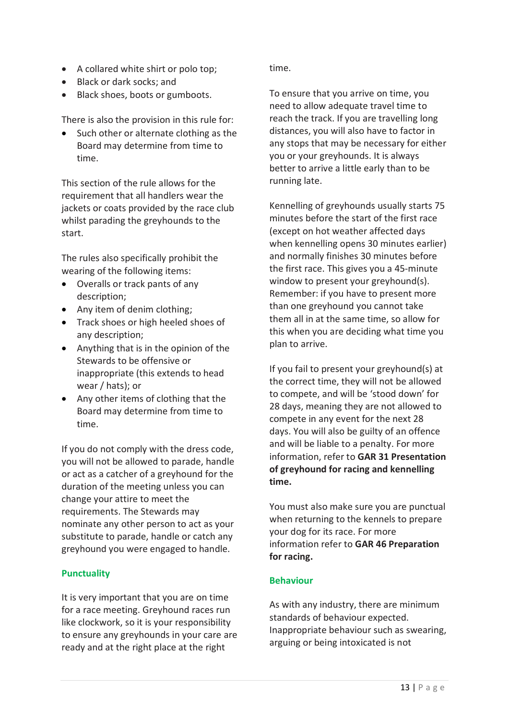- A collared white shirt or polo top;
- Black or dark socks; and
- Black shoes, boots or gumboots.

There is also the provision in this rule for:

Such other or alternate clothing as the Board may determine from time to time.

This section of the rule allows for the requirement that all handlers wear the jackets or coats provided by the race club whilst parading the greyhounds to the start.

The rules also specifically prohibit the wearing of the following items:

- Overalls or track pants of any description;
- Any item of denim clothing;
- Track shoes or high heeled shoes of any description;
- Anything that is in the opinion of the Stewards to be offensive or inappropriate (this extends to head wear / hats); or
- Any other items of clothing that the Board may determine from time to time.

If you do not comply with the dress code, you will not be allowed to parade, handle or act as a catcher of a greyhound for the duration of the meeting unless you can change your attire to meet the requirements. The Stewards may nominate any other person to act as your substitute to parade, handle or catch any greyhound you were engaged to handle.

### **Punctuality**

It is very important that you are on time for a race meeting. Greyhound races run like clockwork, so it is your responsibility to ensure any greyhounds in your care are ready and at the right place at the right

time.

To ensure that you arrive on time, you need to allow adequate travel time to reach the track. If you are travelling long distances, you will also have to factor in any stops that may be necessary for either you or your greyhounds. It is always better to arrive a little early than to be running late.

Kennelling of greyhounds usually starts 75 minutes before the start of the first race (except on hot weather affected days when kennelling opens 30 minutes earlier) and normally finishes 30 minutes before the first race. This gives you a 45-minute window to present your greyhound(s). Remember: if you have to present more than one greyhound you cannot take them all in at the same time, so allow for this when you are deciding what time you plan to arrive.

If you fail to present your greyhound(s) at the correct time, they will not be allowed to compete, and will be 'stood down' for 28 days, meaning they are not allowed to compete in any event for the next 28 days. You will also be guilty of an offence and will be liable to a penalty. For more information, refer to **GAR 31 Presentation of greyhound for racing and kennelling time.**

You must also make sure you are punctual when returning to the kennels to prepare your dog for its race. For more information refer to **GAR 46 Preparation for racing.**

### **Behaviour**

As with any industry, there are minimum standards of behaviour expected. Inappropriate behaviour such as swearing, arguing or being intoxicated is not